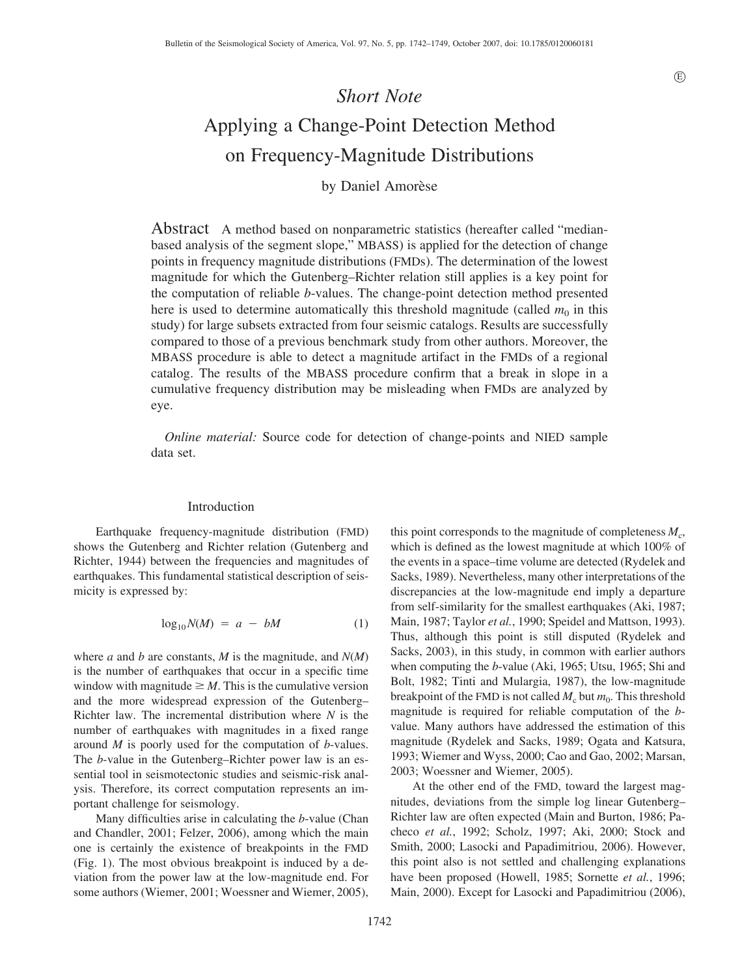# *Short Note* Applying a Change-Point Detection Method on Frequency-Magnitude Distributions

# by Daniel Amorèse

Abstract A method based on nonparametric statistics (hereafter called "medianbased analysis of the segment slope," MBASS) is applied for the detection of change points in frequency magnitude distributions (FMDs). The determination of the lowest magnitude for which the Gutenberg–Richter relation still applies is a key point for the computation of reliable *b*-values. The change-point detection method presented here is used to determine automatically this threshold magnitude (called  $m_0$  in this study) for large subsets extracted from four seismic catalogs. Results are successfully compared to those of a previous benchmark study from other authors. Moreover, the MBASS procedure is able to detect a magnitude artifact in the FMDs of a regional catalog. The results of the MBASS procedure confirm that a break in slope in a cumulative frequency distribution may be misleading when FMDs are analyzed by eye.

*Online material:* Source code for detection of change-points and NIED sample data set.

#### Introduction

Earthquake frequency-magnitude distribution (FMD) shows the Gutenberg and Richter relation (Gutenberg and Richter, 1944) between the frequencies and magnitudes of earthquakes. This fundamental statistical description of seismicity is expressed by:

$$
\log_{10} N(M) = a - bM \tag{1}
$$

where *a* and *b* are constants, *M* is the magnitude, and *N*(*M*) is the number of earthquakes that occur in a specific time window with magnitude  $\geq M$ . This is the cumulative version and the more widespread expression of the Gutenberg– Richter law. The incremental distribution where *N* is the number of earthquakes with magnitudes in a fixed range around *M* is poorly used for the computation of *b*-values. The *b*-value in the Gutenberg–Richter power law is an essential tool in seismotectonic studies and seismic-risk analysis. Therefore, its correct computation represents an important challenge for seismology.

Many difficulties arise in calculating the *b*-value (Chan and Chandler, 2001; Felzer, 2006), among which the main one is certainly the existence of breakpoints in the FMD (Fig. 1). The most obvious breakpoint is induced by a deviation from the power law at the low-magnitude end. For some authors (Wiemer, 2001; Woessner and Wiemer, 2005),

the events in a space–time volume are detected (Rydelek and Sacks, 1989). Nevertheless, many other interpretations of the discrepancies at the low-magnitude end imply a departure from self-similarity for the smallest earthquakes (Aki, 1987; Main, 1987; Taylor *et al.*, 1990; Speidel and Mattson, 1993). Thus, although this point is still disputed (Rydelek and Sacks, 2003), in this study, in common with earlier authors when computing the *b*-value (Aki, 1965; Utsu, 1965; Shi and Bolt, 1982; Tinti and Mulargia, 1987), the low-magnitude breakpoint of the FMD is not called  $M_c$  but  $m_0$ . This threshold magnitude is required for reliable computation of the *b*value. Many authors have addressed the estimation of this magnitude (Rydelek and Sacks, 1989; Ogata and Katsura, 1993; Wiemer and Wyss, 2000; Cao and Gao, 2002; Marsan, 2003; Woessner and Wiemer, 2005). At the other end of the FMD, toward the largest mag-

this point corresponds to the magnitude of completeness  $M_c$ , which is defined as the lowest magnitude at which 100% of

nitudes, deviations from the simple log linear Gutenberg– Richter law are often expected (Main and Burton, 1986; Pacheco *et al.*, 1992; Scholz, 1997; Aki, 2000; Stock and Smith, 2000; Lasocki and Papadimitriou, 2006). However, this point also is not settled and challenging explanations have been proposed (Howell, 1985; Sornette *et al.*, 1996; Main, 2000). Except for Lasocki and Papadimitriou (2006),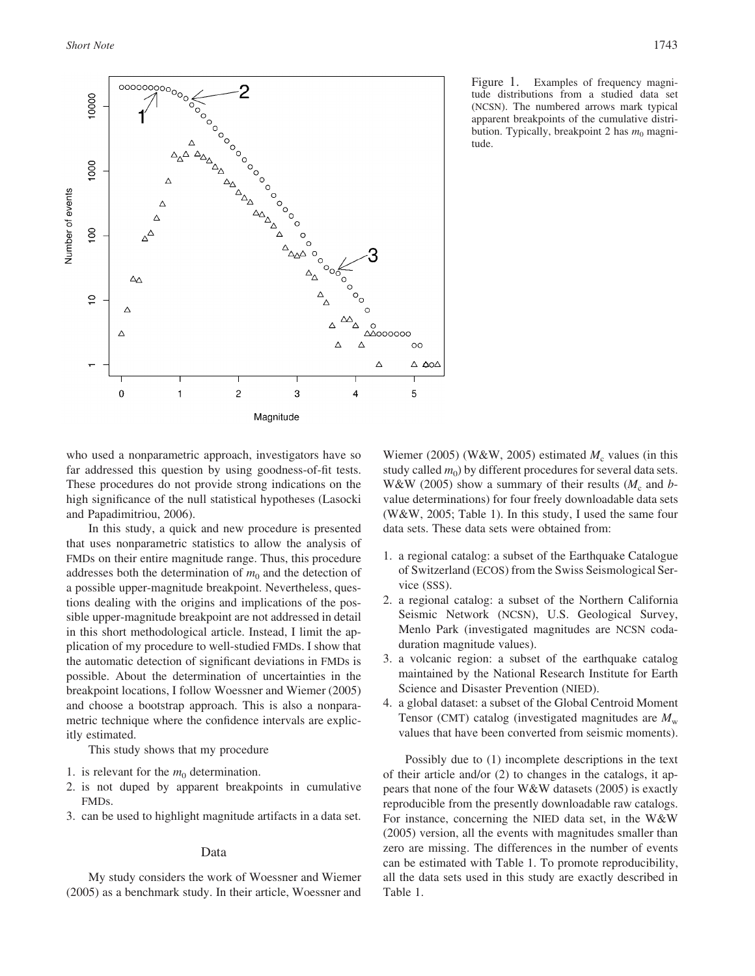

Figure 1. Examples of frequency magnitude distributions from a studied data set (NCSN). The numbered arrows mark typical apparent breakpoints of the cumulative distribution. Typically, breakpoint 2 has  $m_0$  magnitude.

who used a nonparametric approach, investigators have so far addressed this question by using goodness-of-fit tests. These procedures do not provide strong indications on the high significance of the null statistical hypotheses (Lasocki and Papadimitriou, 2006).

In this study, a quick and new procedure is presented that uses nonparametric statistics to allow the analysis of FMDs on their entire magnitude range. Thus, this procedure addresses both the determination of  $m_0$  and the detection of a possible upper-magnitude breakpoint. Nevertheless, questions dealing with the origins and implications of the possible upper-magnitude breakpoint are not addressed in detail in this short methodological article. Instead, I limit the application of my procedure to well-studied FMDs. I show that the automatic detection of significant deviations in FMDs is possible. About the determination of uncertainties in the breakpoint locations, I follow Woessner and Wiemer (2005) and choose a bootstrap approach. This is also a nonparametric technique where the confidence intervals are explicitly estimated.

This study shows that my procedure

- 1. is relevant for the  $m_0$  determination.
- 2. is not duped by apparent breakpoints in cumulative FMDs.
- 3. can be used to highlight magnitude artifacts in a data set.

#### Data

My study considers the work of Woessner and Wiemer (2005) as a benchmark study. In their article, Woessner and

Wiemer (2005) (W&W, 2005) estimated  $M_c$  values (in this study called  $m_0$ ) by different procedures for several data sets. W&W (2005) show a summary of their results  $(M_c$  and *b*value determinations) for four freely downloadable data sets (W&W, 2005; Table 1). In this study, I used the same four data sets. These data sets were obtained from:

- 1. a regional catalog: a subset of the Earthquake Catalogue of Switzerland (ECOS) from the Swiss Seismological Service (SSS).
- 2. a regional catalog: a subset of the Northern California Seismic Network (NCSN), U.S. Geological Survey, Menlo Park (investigated magnitudes are NCSN codaduration magnitude values).
- 3. a volcanic region: a subset of the earthquake catalog maintained by the National Research Institute for Earth Science and Disaster Prevention (NIED).
- 4. a global dataset: a subset of the Global Centroid Moment Tensor (CMT) catalog (investigated magnitudes are  $M_{\rm w}$ ) values that have been converted from seismic moments).

Possibly due to (1) incomplete descriptions in the text of their article and/or (2) to changes in the catalogs, it appears that none of the four W&W datasets (2005) is exactly reproducible from the presently downloadable raw catalogs. For instance, concerning the NIED data set, in the W&W (2005) version, all the events with magnitudes smaller than zero are missing. The differences in the number of events can be estimated with Table 1. To promote reproducibility, all the data sets used in this study are exactly described in Table 1.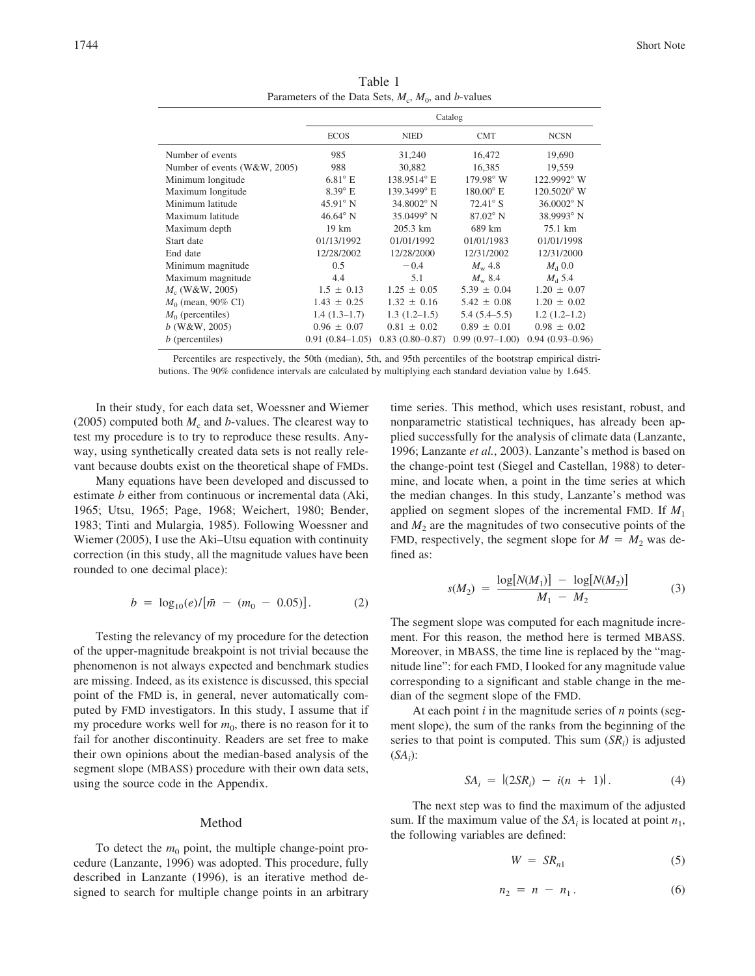|                              | Catalog             |                     |                    |                      |
|------------------------------|---------------------|---------------------|--------------------|----------------------|
|                              | <b>ECOS</b>         | <b>NIED</b>         | <b>CMT</b>         | <b>NCSN</b>          |
| Number of events             | 985                 | 31,240              | 16,472             | 19,690               |
| Number of events (W&W, 2005) | 988                 | 30.882              | 16,385             | 19,559               |
| Minimum longitude            | $6.81^{\circ}$ E    | 138.9514° E         | $179.98^{\circ}$ W | 122.9992° W          |
| Maximum longitude            | $8.39^{\circ}$ E    | 139.3499° E         | $180.00^{\circ}$ E | $120.5020^{\circ}$ W |
| Minimum latitude             | $45.91^{\circ}$ N   | 34.8002° N          | $72.41^\circ$ S    | $36.0002$ ° N        |
| Maximum latitude             | $46.64^{\circ}$ N   | $35.0499$ ° N       | $87.02^\circ$ N    | $38.9993$ ° N        |
| Maximum depth                | $19 \text{ km}$     | 205.3 km            | 689 km             | 75.1 km              |
| Start date                   | 01/13/1992          | 01/01/1992          | 01/01/1983         | 01/01/1998           |
| End date                     | 12/28/2002          | 12/28/2000          | 12/31/2002         | 12/31/2000           |
| Minimum magnitude            | 0.5                 | $-0.4$              | $M_{\rm w}$ 4.8    | $M_{\rm d}$ 0.0      |
| Maximum magnitude            | 4.4                 | 5.1                 | $M_{\rm w}$ 8.4    | $M_{\rm d}$ 5.4      |
| $M_c$ (W&W, 2005)            | $1.5 \pm 0.13$      | $1.25 \pm 0.05$     | $5.39 \pm 0.04$    | $1.20 \pm 0.07$      |
| $M_0$ (mean, 90% CI)         | $1.43 \pm 0.25$     | $1.32 \pm 0.16$     | $5.42 \pm 0.08$    | $1.20 \pm 0.02$      |
| $M_0$ (percentiles)          | $1.4(1.3-1.7)$      | $1.3(1.2-1.5)$      | $5.4(5.4-5.5)$     | $1.2(1.2-1.2)$       |
| $b$ (W&W, 2005)              | $0.96 \pm 0.07$     | $0.81 \pm 0.02$     | $0.89 \pm 0.01$    | $0.98 \pm 0.02$      |
| $b$ (percentiles)            | $0.91(0.84 - 1.05)$ | $0.83(0.80 - 0.87)$ | $0.99(0.97-1.00)$  | $0.94(0.93-0.96)$    |

Table 1 Parameters of the Data Sets,  $M_c$ ,  $M_0$ , and *b*-values

Percentiles are respectively, the 50th (median), 5th, and 95th percentiles of the bootstrap empirical distributions. The 90% confidence intervals are calculated by multiplying each standard deviation value by 1.645.

In their study, for each data set, Woessner and Wiemer (2005) computed both  $M_c$  and *b*-values. The clearest way to test my procedure is to try to reproduce these results. Anyway, using synthetically created data sets is not really relevant because doubts exist on the theoretical shape of FMDs.

Many equations have been developed and discussed to estimate *b* either from continuous or incremental data (Aki, 1965; Utsu, 1965; Page, 1968; Weichert, 1980; Bender, 1983; Tinti and Mulargia, 1985). Following Woessner and Wiemer (2005), I use the Aki–Utsu equation with continuity correction (in this study, all the magnitude values have been rounded to one decimal place):

$$
b = \log_{10}(e)/[\bar{m} - (m_0 - 0.05)].
$$
 (2)

Testing the relevancy of my procedure for the detection of the upper-magnitude breakpoint is not trivial because the phenomenon is not always expected and benchmark studies are missing. Indeed, as its existence is discussed, this special point of the FMD is, in general, never automatically computed by FMD investigators. In this study, I assume that if my procedure works well for  $m_0$ , there is no reason for it to fail for another discontinuity. Readers are set free to make their own opinions about the median-based analysis of the segment slope (MBASS) procedure with their own data sets, using the source code in the Appendix.

#### Method

To detect the  $m_0$  point, the multiple change-point procedure (Lanzante, 1996) was adopted. This procedure, fully described in Lanzante (1996), is an iterative method designed to search for multiple change points in an arbitrary time series. This method, which uses resistant, robust, and nonparametric statistical techniques, has already been applied successfully for the analysis of climate data (Lanzante, 1996; Lanzante *et al.*, 2003). Lanzante's method is based on the change-point test (Siegel and Castellan, 1988) to determine, and locate when, a point in the time series at which the median changes. In this study, Lanzante's method was applied on segment slopes of the incremental FMD. If *M*<sup>1</sup> and  $M<sub>2</sub>$  are the magnitudes of two consecutive points of the FMD, respectively, the segment slope for  $M = M_2$  was defined as:

$$
s(M_2) = \frac{\log[N(M_1)] - \log[N(M_2)]}{M_1 - M_2} \tag{3}
$$

The segment slope was computed for each magnitude increment. For this reason, the method here is termed MBASS. Moreover, in MBASS, the time line is replaced by the "magnitude line": for each FMD, I looked for any magnitude value corresponding to a significant and stable change in the median of the segment slope of the FMD.

At each point *i* in the magnitude series of *n* points (segment slope), the sum of the ranks from the beginning of the series to that point is computed. This sum  $(S_{i})$  is adjusted  $(SA_i)$ :

$$
SA_i = |(2SR_i) - i(n + 1)|. \tag{4}
$$

The next step was to find the maximum of the adjusted sum. If the maximum value of the  $SA_i$  is located at point  $n_1$ , the following variables are defined:

$$
W = SR_{n1} \tag{5}
$$

$$
n_2 = n - n_1. \tag{6}
$$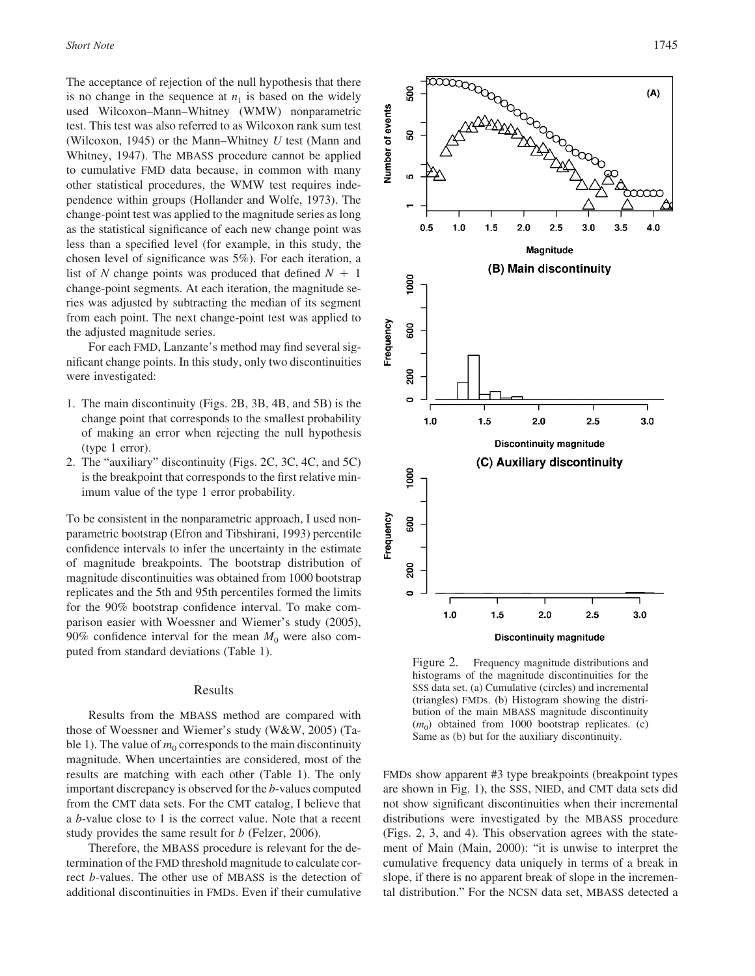The acceptance of rejection of the null hypothesis that there is no change in the sequence at  $n_1$  is based on the widely used Wilcoxon–Mann–Whitney (WMW) nonparametric test. This test was also referred to as Wilcoxon rank sum test (Wilcoxon, 1945) or the Mann–Whitney *U* test (Mann and Whitney, 1947). The MBASS procedure cannot be applied to cumulative FMD data because, in common with many other statistical procedures, the WMW test requires independence within groups (Hollander and Wolfe, 1973). The change-point test was applied to the magnitude series as long as the statistical significance of each new change point was less than a specified level (for example, in this study, the chosen level of significance was 5%). For each iteration, a list of N change points was produced that defined  $N + 1$ change-point segments. At each iteration, the magnitude series was adjusted by subtracting the median of its segment from each point. The next change-point test was applied to the adjusted magnitude series.

For each FMD, Lanzante's method may find several significant change points. In this study, only two discontinuities were investigated:

- 1. The main discontinuity (Figs. 2B, 3B, 4B, and 5B) is the change point that corresponds to the smallest probability of making an error when rejecting the null hypothesis (type 1 error).
- 2. The "auxiliary" discontinuity (Figs. 2C, 3C, 4C, and 5C) is the breakpoint that corresponds to the first relative minimum value of the type 1 error probability.

To be consistent in the nonparametric approach, I used nonparametric bootstrap (Efron and Tibshirani, 1993) percentile confidence intervals to infer the uncertainty in the estimate of magnitude breakpoints. The bootstrap distribution of magnitude discontinuities was obtained from 1000 bootstrap replicates and the 5th and 95th percentiles formed the limits for the 90% bootstrap confidence interval. To make comparison easier with Woessner and Wiemer's study (2005), 90% confidence interval for the mean  $M_0$  were also computed from standard deviations (Table 1).

## Results

Results from the MBASS method are compared with those of Woessner and Wiemer's study (W&W, 2005) (Table 1). The value of  $m_0$  corresponds to the main discontinuity magnitude. When uncertainties are considered, most of the results are matching with each other (Table 1). The only important discrepancy is observed for the *b*-values computed from the CMT data sets. For the CMT catalog, I believe that a *b*-value close to 1 is the correct value. Note that a recent study provides the same result for *b* (Felzer, 2006).

Therefore, the MBASS procedure is relevant for the determination of the FMD threshold magnitude to calculate correct *b*-values. The other use of MBASS is the detection of additional discontinuities in FMDs. Even if their cumulative



Figure 2. Frequency magnitude distributions and histograms of the magnitude discontinuities for the SSS data set. (a) Cumulative (circles) and incremental (triangles) FMDs. (b) Histogram showing the distribution of the main MBASS magnitude discontinuity  $(m_0)$  obtained from 1000 bootstrap replicates. (c) Same as (b) but for the auxiliary discontinuity.

FMDs show apparent #3 type breakpoints (breakpoint types are shown in Fig. 1), the SSS, NIED, and CMT data sets did not show significant discontinuities when their incremental distributions were investigated by the MBASS procedure (Figs. 2, 3, and 4). This observation agrees with the statement of Main (Main, 2000): "it is unwise to interpret the cumulative frequency data uniquely in terms of a break in slope, if there is no apparent break of slope in the incremental distribution." For the NCSN data set, MBASS detected a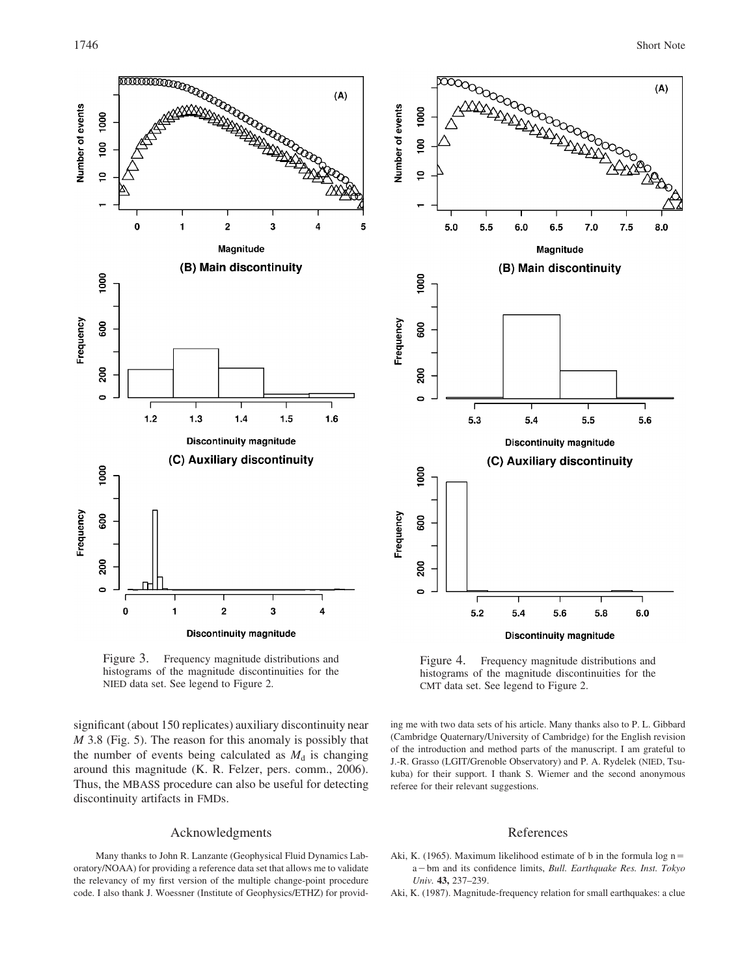

Figure 3. Frequency magnitude distributions and histograms of the magnitude discontinuities for the NIED data set. See legend to Figure 2.

significant (about 150 replicates) auxiliary discontinuity near *M* 3.8 (Fig. 5). The reason for this anomaly is possibly that the number of events being calculated as  $M_d$  is changing around this magnitude (K. R. Felzer, pers. comm., 2006). Thus, the MBASS procedure can also be useful for detecting discontinuity artifacts in FMDs.

# Acknowledgments

Many thanks to John R. Lanzante (Geophysical Fluid Dynamics Laboratory/NOAA) for providing a reference data set that allows me to validate the relevancy of my first version of the multiple change-point procedure code. I also thank J. Woessner (Institute of Geophysics/ETHZ) for provid-



Figure 4. Frequency magnitude distributions and histograms of the magnitude discontinuities for the CMT data set. See legend to Figure 2.

ing me with two data sets of his article. Many thanks also to P. L. Gibbard (Cambridge Quaternary/University of Cambridge) for the English revision of the introduction and method parts of the manuscript. I am grateful to J.-R. Grasso (LGIT/Grenoble Observatory) and P. A. Rydelek (NIED, Tsukuba) for their support. I thank S. Wiemer and the second anonymous referee for their relevant suggestions.

#### References

- Aki, K. (1965). Maximum likelihood estimate of b in the formula  $log n =$ a-bm and its confidence limits, *Bull. Earthquake Res. Inst. Tokyo Univ.* **43,** 237–239.
- Aki, K. (1987). Magnitude-frequency relation for small earthquakes: a clue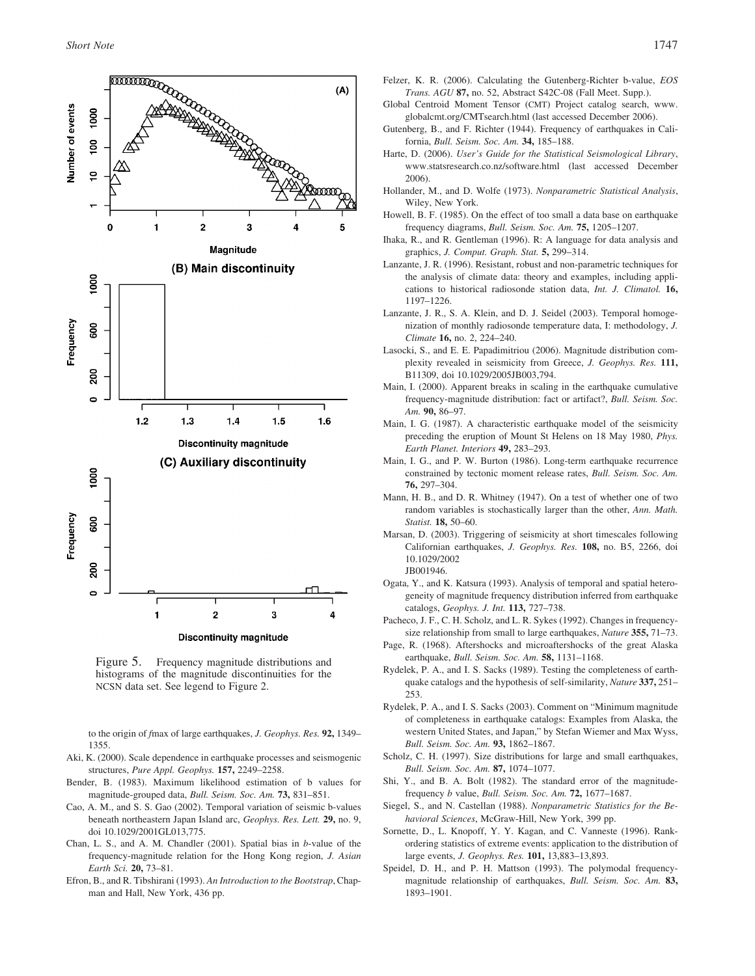

Figure 5. Frequency magnitude distributions and histograms of the magnitude discontinuities for the NCSN data set. See legend to Figure 2.

to the origin of *f*max of large earthquakes, *J. Geophys. Res.* **92,** 1349– 1355.

- Aki, K. (2000). Scale dependence in earthquake processes and seismogenic structures, *Pure Appl. Geophys.* **157,** 2249–2258.
- Bender, B. (1983). Maximum likelihood estimation of b values for magnitude-grouped data, *Bull. Seism. Soc. Am.* **73,** 831–851.
- Cao, A. M., and S. S. Gao (2002). Temporal variation of seismic b-values beneath northeastern Japan Island arc, *Geophys. Res. Lett.* **29,** no. 9, doi 10.1029/2001GL013,775.
- Chan, L. S., and A. M. Chandler (2001). Spatial bias in *b*-value of the frequency-magnitude relation for the Hong Kong region, *J. Asian Earth Sci.* **20,** 73–81.
- Efron, B., and R. Tibshirani (1993). *An Introduction to the Bootstrap*, Chapman and Hall, New York, 436 pp.
- Felzer, K. R. (2006). Calculating the Gutenberg-Richter b-value, *EOS Trans. AGU* **87,** no. 52, Abstract S42C-08 (Fall Meet. Supp.).
- Global Centroid Moment Tensor (CMT) Project catalog search, www. globalcmt.org/CMTsearch.html (last accessed December 2006).
- Gutenberg, B., and F. Richter (1944). Frequency of earthquakes in California, *Bull. Seism. Soc. Am.* **34,** 185–188.
- Harte, D. (2006). *User's Guide for the Statistical Seismological Library*, www.statsresearch.co.nz/software.html (last accessed December 2006).
- Hollander, M., and D. Wolfe (1973). *Nonparametric Statistical Analysis*, Wiley, New York.
- Howell, B. F. (1985). On the effect of too small a data base on earthquake frequency diagrams, *Bull. Seism. Soc. Am.* **75,** 1205–1207.
- Ihaka, R., and R. Gentleman (1996). R: A language for data analysis and graphics, *J. Comput. Graph. Stat.* **5,** 299–314.
- Lanzante, J. R. (1996). Resistant, robust and non-parametric techniques for the analysis of climate data: theory and examples, including applications to historical radiosonde station data, *Int. J. Climatol.* **16,** 1197–1226.
- Lanzante, J. R., S. A. Klein, and D. J. Seidel (2003). Temporal homogenization of monthly radiosonde temperature data, I: methodology, *J. Climate* **16,** no. 2, 224–240.
- Lasocki, S., and E. E. Papadimitriou (2006). Magnitude distribution complexity revealed in seismicity from Greece, *J. Geophys. Res.* **111,** B11309, doi 10.1029/2005JB003,794.
- Main, I. (2000). Apparent breaks in scaling in the earthquake cumulative frequency-magnitude distribution: fact or artifact?, *Bull. Seism. Soc. Am.* **90,** 86–97.
- Main, I. G. (1987). A characteristic earthquake model of the seismicity preceding the eruption of Mount St Helens on 18 May 1980, *Phys. Earth Planet. Interiors* **49,** 283–293.
- Main, I. G., and P. W. Burton (1986). Long-term earthquake recurrence constrained by tectonic moment release rates, *Bull. Seism. Soc. Am.* **76,** 297–304.
- Mann, H. B., and D. R. Whitney (1947). On a test of whether one of two random variables is stochastically larger than the other, *Ann. Math. Statist.* **18,** 50–60.
- Marsan, D. (2003). Triggering of seismicity at short timescales following Californian earthquakes, *J. Geophys. Res.* **108,** no. B5, 2266, doi 10.1029/2002 JB001946.
- Ogata, Y., and K. Katsura (1993). Analysis of temporal and spatial heterogeneity of magnitude frequency distribution inferred from earthquake catalogs, *Geophys. J. Int.* **113,** 727–738.
- Pacheco, J. F., C. H. Scholz, and L. R. Sykes (1992). Changes in frequencysize relationship from small to large earthquakes, *Nature* **355,** 71–73.
- Page, R. (1968). Aftershocks and microaftershocks of the great Alaska earthquake, *Bull. Seism. Soc. Am.* **58,** 1131–1168.
- Rydelek, P. A., and I. S. Sacks (1989). Testing the completeness of earthquake catalogs and the hypothesis of self-similarity, *Nature* **337,** 251– 253.
- Rydelek, P. A., and I. S. Sacks (2003). Comment on "Minimum magnitude of completeness in earthquake catalogs: Examples from Alaska, the western United States, and Japan," by Stefan Wiemer and Max Wyss, *Bull. Seism. Soc. Am.* **93,** 1862–1867.
- Scholz, C. H. (1997). Size distributions for large and small earthquakes, *Bull. Seism. Soc. Am.* **87,** 1074–1077.
- Shi, Y., and B. A. Bolt (1982). The standard error of the magnitudefrequency *b* value, *Bull. Seism. Soc. Am.* **72,** 1677–1687.
- Siegel, S., and N. Castellan (1988). *Nonparametric Statistics for the Behavioral Sciences*, McGraw-Hill, New York, 399 pp.
- Sornette, D., L. Knopoff, Y. Y. Kagan, and C. Vanneste (1996). Rankordering statistics of extreme events: application to the distribution of large events, *J. Geophys. Res.* **101,** 13,883–13,893.
- Speidel, D. H., and P. H. Mattson (1993). The polymodal frequencymagnitude relationship of earthquakes, *Bull. Seism. Soc. Am.* **83,** 1893–1901.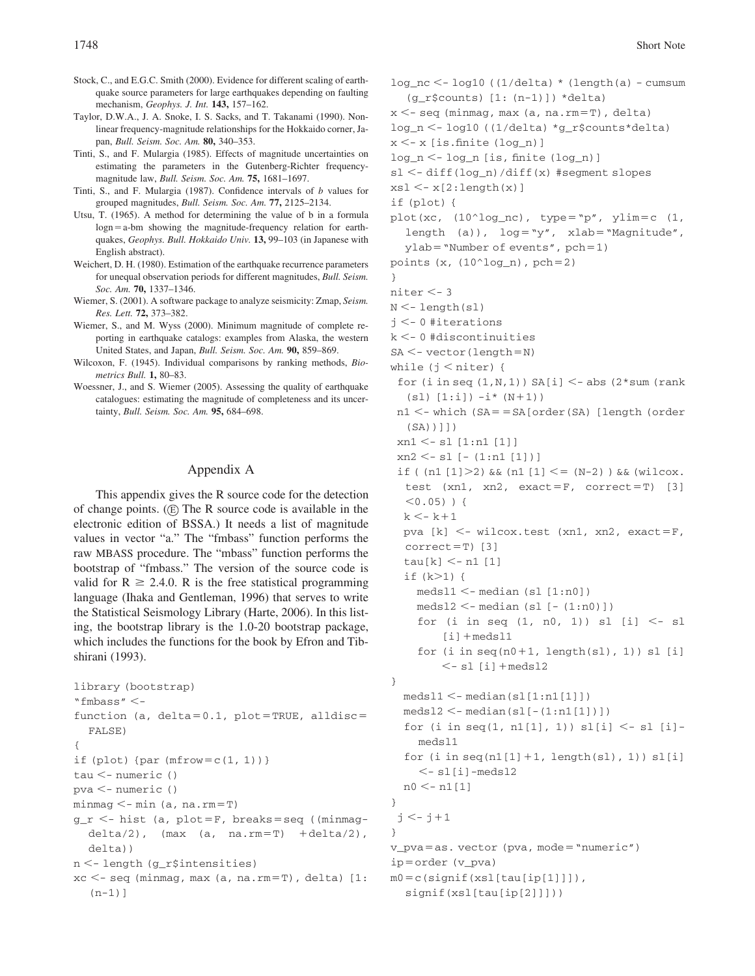- Stock, C., and E.G.C. Smith (2000). Evidence for different scaling of earthquake source parameters for large earthquakes depending on faulting mechanism, *Geophys. J. Int.* **143,** 157–162.
- Taylor, D.W.A., J. A. Snoke, I. S. Sacks, and T. Takanami (1990). Nonlinear frequency-magnitude relationships for the Hokkaido corner, Japan, *Bull. Seism. Soc. Am.* **80,** 340–353.
- Tinti, S., and F. Mulargia (1985). Effects of magnitude uncertainties on estimating the parameters in the Gutenberg-Richter frequencymagnitude law, *Bull. Seism. Soc. Am.* **75,** 1681–1697.
- Tinti, S., and F. Mulargia (1987). Confidence intervals of *b* values for grouped magnitudes, *Bull. Seism. Soc. Am.* **77,** 2125–2134.
- Utsu, T. (1965). A method for determining the value of b in a formula  $log n = a$ -bm showing the magnitude-frequency relation for earthquakes, *Geophys. Bull. Hokkaido Univ.* **13,** 99–103 (in Japanese with English abstract).
- Weichert, D. H. (1980). Estimation of the earthquake recurrence parameters for unequal observation periods for different magnitudes, *Bull. Seism. Soc. Am.* **70,** 1337–1346.
- Wiemer, S. (2001). A software package to analyze seismicity: Zmap, *Seism. Res. Lett.* **72,** 373–382.
- Wiemer, S., and M. Wyss (2000). Minimum magnitude of complete reporting in earthquake catalogs: examples from Alaska, the western United States, and Japan, *Bull. Seism. Soc. Am.* **90,** 859–869.
- Wilcoxon, F. (1945). Individual comparisons by ranking methods, *Biometrics Bull.* **1,** 80–83.
- Woessner, J., and S. Wiemer (2005). Assessing the quality of earthquake catalogues: estimating the magnitude of completeness and its uncertainty, *Bull. Seism. Soc. Am.* **95,** 684–698.

### Appendix A

This appendix gives the R source code for the detection of change points.  $(E)$  The R source code is available in the electronic edition of BSSA.) It needs a list of magnitude values in vector "a." The "fmbass" function performs the raw MBASS procedure. The "mbass" function performs the bootstrap of "fmbass." The version of the source code is valid for  $R \ge 2.4.0$ . R is the free statistical programming language (Ihaka and Gentleman, 1996) that serves to write the Statistical Seismology Library (Harte, 2006). In this listing, the bootstrap library is the 1.0-20 bootstrap package, which includes the functions for the book by Efron and Tibshirani (1993).

```
library (bootstrap)
"fmbass" <-
function (a, delta=0.1, plot=TRUE, alldisc=
  FALSE)
{
if (plot) {par (mfrow=c(1, 1)) }
tau <- numeric ()
pva <- numeric ()
minmag <- min (a, na.rm=T)
g_r <- hist (a, plot=F, breaks=seq ((minmag-
  delta/2), (max (a, na.rm=T) +delta/2),
  delta))
n <- length (g_r$intensities)
xc \leq -seq (minmag, max (a, na.rm=T), delta) [1:
  (n-1)]
```

```
log_nc -
- log10 ((1/delta) * (length(a) - cumsum
  (g_r$counts) [1: (n-1)]) *delta)
x < - seq (minmag, max (a, na.rm=T), delta)
log_n <- log10 ((1/delta) *g_r$counts*delta)
x < -x [is.finite (log_n)]
log_n <- log_n [is, finite (log_n)]
sl <- diff(log_n)/diff(x) #segment slopes
xs1 < -x[2:length(x)]if (plot) {
plot(xc, (10^{\circ} \log_{10} n c), type="p", ylim=c (1,
  length (a)), log="y", xlab="Magnitude",
  ylab="Number of events", pch=1)points (x, (10^1 \log_n), \text{pch}=2)}
niter < -3N < - length(sl)
j < -0#iterations
k -
- 0 #discontinuities
SA < - vector (length=N)
while (j < niter) {
 for (i in seq (1, N, 1) SA[i] < -abs (2 * sum (rank(s1) [1:i]) - i*(N+1)n1<- which (SA==SA[order(SA) [length (order
  (SA))]])
 xn1 \leq - s1 [1:n1 [1]]
 xn2 -
- sl [- (1:n1 [1])]
 if ( (n1 [1] > 2) & (n1 [1] < = (N-2) ) & k (wilcox.
  test (xn1, xn2, exact=F, correct=T) [3]
  < 0.05) ) {
  k \leq -k+1pva [k] <- wilcox.test (xn1, xn2, exact=F,
  correct=T) [3]
  tau[k] < - n1 [1]if (k>1) {
    meds11 < -median(s1 [1:n0])medsl2 <-median (sl [-(1:n0)])
    for (i in seq (1, n0, 1)) sl [i] < -s1[i] + medsl1
    for (i in seq(n0+1, length(s1), 1)) sl [i]
        \leq- sl [i] + medsl2
}
  medsl1 <-median(s1[1:n1[1]])meds12 < - median(s1[-(1:n1[1]))for (i in seq(1, n1[1], 1)) sl[i] < - sl[i]-
    medsl1
  for (i in seq(n1[1]+1, length(s1), 1)) sl[i]\leq - sl[i]-medsl2
  n0 < - n1[1]}
 j \leq -j+1}
v_pva=as. vector (pva, mode="numeric")
ip=order (v_pva)m0 = c(signif(xsl[tau[ip[1]]]),
  signif(xsl[tau[ip[2]]]))
```